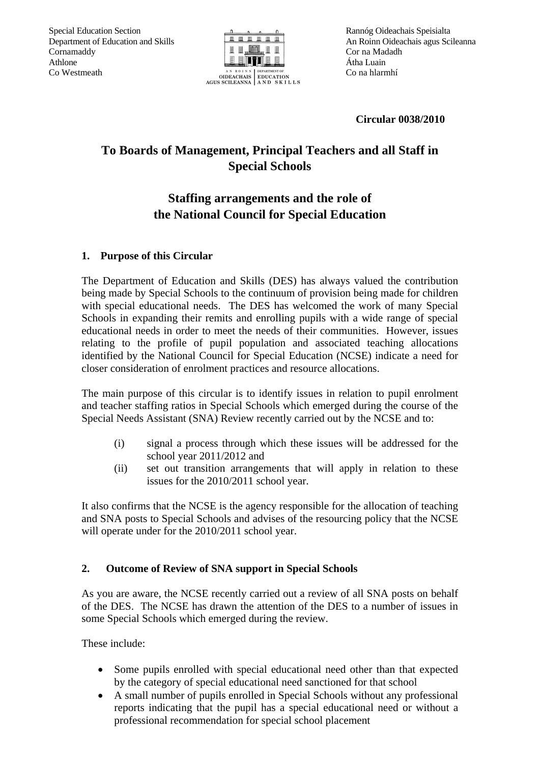Special Education Section Department of Education and Skills Cornamaddy Athlone Co Westmeath



Rannóg Oideachais Speisialta An Roinn Oideachais agus Scileanna Cor na Madadh Átha Luain Co na hlarmhí

**Circular 0038/2010** 

# **To Boards of Management, Principal Teachers and all Staff in Special Schools**

## **Staffing arrangements and the role of the National Council for Special Education**

### **1. Purpose of this Circular**

The Department of Education and Skills (DES) has always valued the contribution being made by Special Schools to the continuum of provision being made for children with special educational needs. The DES has welcomed the work of many Special Schools in expanding their remits and enrolling pupils with a wide range of special educational needs in order to meet the needs of their communities. However, issues relating to the profile of pupil population and associated teaching allocations identified by the National Council for Special Education (NCSE) indicate a need for closer consideration of enrolment practices and resource allocations.

The main purpose of this circular is to identify issues in relation to pupil enrolment and teacher staffing ratios in Special Schools which emerged during the course of the Special Needs Assistant (SNA) Review recently carried out by the NCSE and to:

- (i) signal a process through which these issues will be addressed for the school year 2011/2012 and
- (ii) set out transition arrangements that will apply in relation to these issues for the 2010/2011 school year.

It also confirms that the NCSE is the agency responsible for the allocation of teaching and SNA posts to Special Schools and advises of the resourcing policy that the NCSE will operate under for the 2010/2011 school year.

### **2. Outcome of Review of SNA support in Special Schools**

As you are aware, the NCSE recently carried out a review of all SNA posts on behalf of the DES. The NCSE has drawn the attention of the DES to a number of issues in some Special Schools which emerged during the review.

These include:

- Some pupils enrolled with special educational need other than that expected by the category of special educational need sanctioned for that school
- A small number of pupils enrolled in Special Schools without any professional reports indicating that the pupil has a special educational need or without a professional recommendation for special school placement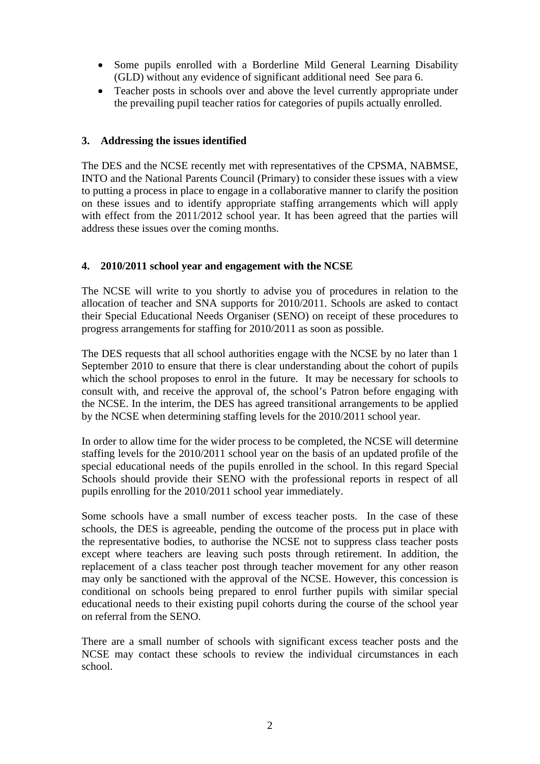- Some pupils enrolled with a Borderline Mild General Learning Disability (GLD) without any evidence of significant additional need See para 6.
- Teacher posts in schools over and above the level currently appropriate under the prevailing pupil teacher ratios for categories of pupils actually enrolled.

#### **3. Addressing the issues identified**

The DES and the NCSE recently met with representatives of the CPSMA, NABMSE, INTO and the National Parents Council (Primary) to consider these issues with a view to putting a process in place to engage in a collaborative manner to clarify the position on these issues and to identify appropriate staffing arrangements which will apply with effect from the 2011/2012 school year. It has been agreed that the parties will address these issues over the coming months.

#### **4. 2010/2011 school year and engagement with the NCSE**

The NCSE will write to you shortly to advise you of procedures in relation to the allocation of teacher and SNA supports for 2010/2011. Schools are asked to contact their Special Educational Needs Organiser (SENO) on receipt of these procedures to progress arrangements for staffing for 2010/2011 as soon as possible.

The DES requests that all school authorities engage with the NCSE by no later than 1 September 2010 to ensure that there is clear understanding about the cohort of pupils which the school proposes to enrol in the future. It may be necessary for schools to consult with, and receive the approval of, the school's Patron before engaging with the NCSE. In the interim, the DES has agreed transitional arrangements to be applied by the NCSE when determining staffing levels for the 2010/2011 school year.

In order to allow time for the wider process to be completed, the NCSE will determine staffing levels for the 2010/2011 school year on the basis of an updated profile of the special educational needs of the pupils enrolled in the school. In this regard Special Schools should provide their SENO with the professional reports in respect of all pupils enrolling for the 2010/2011 school year immediately.

Some schools have a small number of excess teacher posts. In the case of these schools, the DES is agreeable, pending the outcome of the process put in place with the representative bodies, to authorise the NCSE not to suppress class teacher posts except where teachers are leaving such posts through retirement. In addition, the replacement of a class teacher post through teacher movement for any other reason may only be sanctioned with the approval of the NCSE. However, this concession is conditional on schools being prepared to enrol further pupils with similar special educational needs to their existing pupil cohorts during the course of the school year on referral from the SENO.

There are a small number of schools with significant excess teacher posts and the NCSE may contact these schools to review the individual circumstances in each school.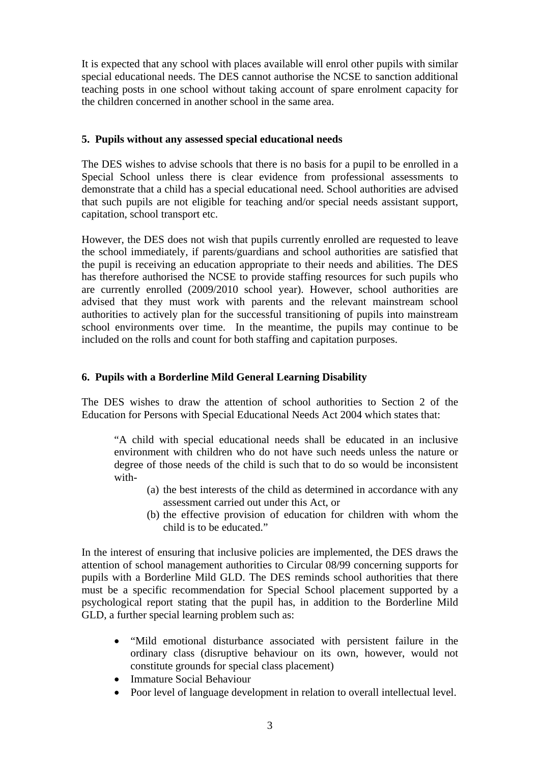It is expected that any school with places available will enrol other pupils with similar special educational needs. The DES cannot authorise the NCSE to sanction additional teaching posts in one school without taking account of spare enrolment capacity for the children concerned in another school in the same area.

#### **5. Pupils without any assessed special educational needs**

The DES wishes to advise schools that there is no basis for a pupil to be enrolled in a Special School unless there is clear evidence from professional assessments to demonstrate that a child has a special educational need. School authorities are advised that such pupils are not eligible for teaching and/or special needs assistant support, capitation, school transport etc.

However, the DES does not wish that pupils currently enrolled are requested to leave the school immediately, if parents/guardians and school authorities are satisfied that the pupil is receiving an education appropriate to their needs and abilities. The DES has therefore authorised the NCSE to provide staffing resources for such pupils who are currently enrolled (2009/2010 school year). However, school authorities are advised that they must work with parents and the relevant mainstream school authorities to actively plan for the successful transitioning of pupils into mainstream school environments over time. In the meantime, the pupils may continue to be included on the rolls and count for both staffing and capitation purposes.

#### **6. Pupils with a Borderline Mild General Learning Disability**

The DES wishes to draw the attention of school authorities to Section 2 of the Education for Persons with Special Educational Needs Act 2004 which states that:

"A child with special educational needs shall be educated in an inclusive environment with children who do not have such needs unless the nature or degree of those needs of the child is such that to do so would be inconsistent with-

- (a) the best interests of the child as determined in accordance with any assessment carried out under this Act, or
- (b) the effective provision of education for children with whom the child is to be educated."

In the interest of ensuring that inclusive policies are implemented, the DES draws the attention of school management authorities to Circular 08/99 concerning supports for pupils with a Borderline Mild GLD. The DES reminds school authorities that there must be a specific recommendation for Special School placement supported by a psychological report stating that the pupil has, in addition to the Borderline Mild GLD, a further special learning problem such as:

- "Mild emotional disturbance associated with persistent failure in the ordinary class (disruptive behaviour on its own, however, would not constitute grounds for special class placement)
- Immature Social Behaviour
- Poor level of language development in relation to overall intellectual level.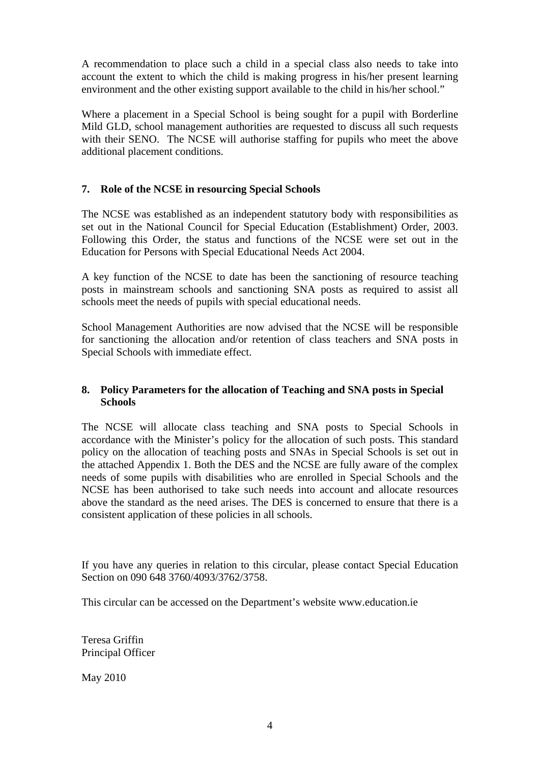A recommendation to place such a child in a special class also needs to take into account the extent to which the child is making progress in his/her present learning environment and the other existing support available to the child in his/her school."

Where a placement in a Special School is being sought for a pupil with Borderline Mild GLD, school management authorities are requested to discuss all such requests with their SENO. The NCSE will authorise staffing for pupils who meet the above additional placement conditions.

#### **7. Role of the NCSE in resourcing Special Schools**

The NCSE was established as an independent statutory body with responsibilities as set out in the National Council for Special Education (Establishment) Order, 2003. Following this Order, the status and functions of the NCSE were set out in the Education for Persons with Special Educational Needs Act 2004.

A key function of the NCSE to date has been the sanctioning of resource teaching posts in mainstream schools and sanctioning SNA posts as required to assist all schools meet the needs of pupils with special educational needs.

School Management Authorities are now advised that the NCSE will be responsible for sanctioning the allocation and/or retention of class teachers and SNA posts in Special Schools with immediate effect.

#### **8. Policy Parameters for the allocation of Teaching and SNA posts in Special Schools**

The NCSE will allocate class teaching and SNA posts to Special Schools in accordance with the Minister's policy for the allocation of such posts. This standard policy on the allocation of teaching posts and SNAs in Special Schools is set out in the attached Appendix 1. Both the DES and the NCSE are fully aware of the complex needs of some pupils with disabilities who are enrolled in Special Schools and the NCSE has been authorised to take such needs into account and allocate resources above the standard as the need arises. The DES is concerned to ensure that there is a consistent application of these policies in all schools.

If you have any queries in relation to this circular, please contact Special Education Section on 090 648 3760/4093/3762/3758.

This circular can be accessed on the Department's website www.education.ie

Teresa Griffin Principal Officer

May 2010